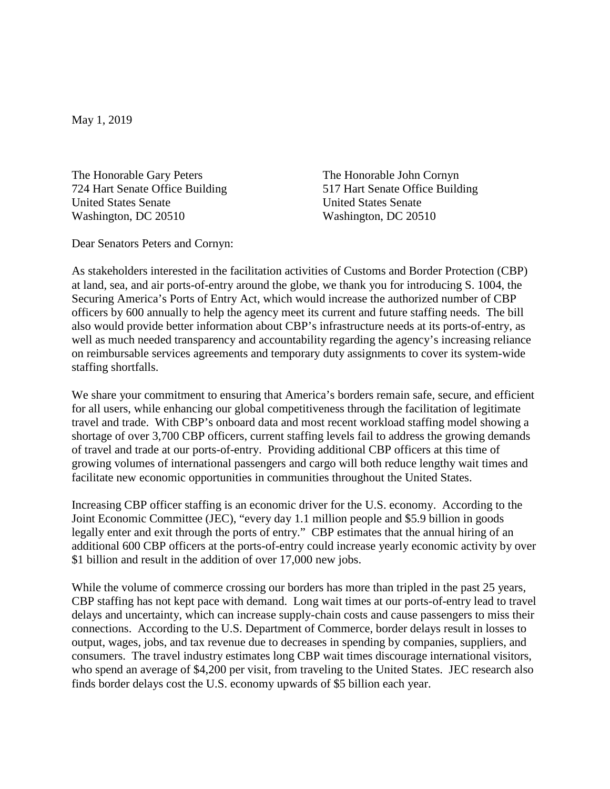May 1, 2019

The Honorable Gary Peters The Honorable John Cornyn 724 Hart Senate Office Building 517 Hart Senate Office Building United States Senate United States Senate Washington, DC 20510 Washington, DC 20510

Dear Senators Peters and Cornyn:

As stakeholders interested in the facilitation activities of Customs and Border Protection (CBP) at land, sea, and air ports-of-entry around the globe, we thank you for introducing S. 1004, the Securing America's Ports of Entry Act, which would increase the authorized number of CBP officers by 600 annually to help the agency meet its current and future staffing needs. The bill also would provide better information about CBP's infrastructure needs at its ports-of-entry, as well as much needed transparency and accountability regarding the agency's increasing reliance on reimbursable services agreements and temporary duty assignments to cover its system-wide staffing shortfalls.

We share your commitment to ensuring that America's borders remain safe, secure, and efficient for all users, while enhancing our global competitiveness through the facilitation of legitimate travel and trade. With CBP's onboard data and most recent workload staffing model showing a shortage of over 3,700 CBP officers, current staffing levels fail to address the growing demands of travel and trade at our ports-of-entry. Providing additional CBP officers at this time of growing volumes of international passengers and cargo will both reduce lengthy wait times and facilitate new economic opportunities in communities throughout the United States.

Increasing CBP officer staffing is an economic driver for the U.S. economy. According to the Joint Economic Committee (JEC), "every day 1.1 million people and \$5.9 billion in goods legally enter and exit through the ports of entry." CBP estimates that the annual hiring of an additional 600 CBP officers at the ports-of-entry could increase yearly economic activity by over \$1 billion and result in the addition of over 17,000 new jobs.

While the volume of commerce crossing our borders has more than tripled in the past 25 years, CBP staffing has not kept pace with demand. Long wait times at our ports-of-entry lead to travel delays and uncertainty, which can increase supply-chain costs and cause passengers to miss their connections. According to the U.S. Department of Commerce, border delays result in losses to output, wages, jobs, and tax revenue due to decreases in spending by companies, suppliers, and consumers. The travel industry estimates long CBP wait times discourage international visitors, who spend an average of \$4,200 per visit, from traveling to the United States. JEC research also finds border delays cost the U.S. economy upwards of \$5 billion each year.